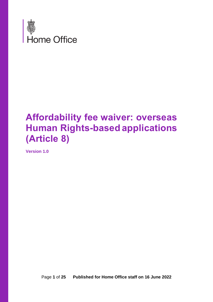

# **Affordability fee waiver: overseas Human Rights-based applications (Article 8)**

<span id="page-0-0"></span>**Version 1.0**

Page **1** of **25 Published for Home Office staff on 16 June 2022**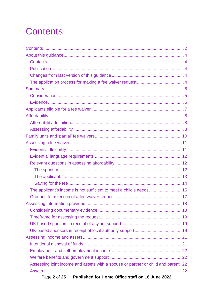# <span id="page-1-0"></span>**Contents**

| The applicant's income is not sufficient to meet a child's needs 15                |  |
|------------------------------------------------------------------------------------|--|
|                                                                                    |  |
|                                                                                    |  |
|                                                                                    |  |
|                                                                                    |  |
|                                                                                    |  |
|                                                                                    |  |
|                                                                                    |  |
|                                                                                    |  |
|                                                                                    |  |
|                                                                                    |  |
| Assessing joint income and assets with a spouse or partner or child and parent. 22 |  |
|                                                                                    |  |
| Published for Home Office staff on 16 June 2022<br>Page 2 of 25                    |  |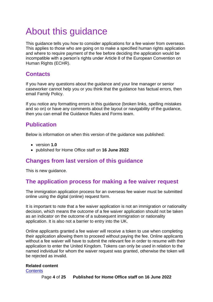# <span id="page-3-0"></span>About this guidance

This guidance tells you how to consider applications for a fee waiver from overseas. This applies to those who are going on to make a specified human rights application and where to require payment of the fee before deciding the application would be incompatible with a person's rights under Article 8 of the European Convention on Human Rights (ECHR).

## <span id="page-3-1"></span>**Contacts**

If you have any questions about the guidance and your line manager or senior caseworker cannot help you or you think that the guidance has factual errors, then email Family Policy.

If you notice any formatting errors in this guidance (broken links, spelling mistakes and so on) or have any comments about the layout or navigability of the guidance, then you can email the Guidance Rules and Forms team.

## <span id="page-3-2"></span>**Publication**

Below is information on when this version of the guidance was published:

- version **1.0**
- published for Home Office staff on **16 June 2022**

## <span id="page-3-3"></span>**Changes from last version of this guidance**

This is new guidance.

## <span id="page-3-4"></span>**The application process for making a fee waiver request**

The immigration application process for an overseas fee waiver must be submitted online using the digital (online) request form.

It is important to note that a fee waiver application is not an immigration or nationality decision, which means the outcome of a fee waiver application should not be taken as an indicator on the outcome of a subsequent immigration or nationality application. It is also not a barrier to entry into the UK.

Online applicants granted a fee waiver will receive a token to use when completing their application allowing them to proceed without paying the fee. Online applicants without a fee waiver will have to submit the relevant fee in order to resume with their application to enter the United Kingdom. Tokens can only be used in relation to the named individual for whom the waiver request was granted, otherwise the token will be rejected as invalid.

#### **Related content**

**[Contents](#page-0-0)** 

Page **4** of **25 Published for Home Office staff on 16 June 2022**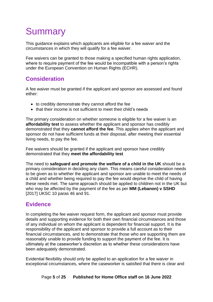# <span id="page-4-0"></span>**Summary**

This guidance explains which applicants are eligible for a fee waiver and the circumstances in which they will qualify for a fee waiver.

Fee waivers can be granted to those making a specified human rights application, where to require payment of the fee would be incompatible with a person's rights under the European Convention on Human Rights (ECHR).

# <span id="page-4-1"></span>**Consideration**

A fee waiver must be granted if the applicant and sponsor are assessed and found either:

- to credibly demonstrate they cannot afford the fee
- that their income is not sufficient to meet their child's needs

The primary consideration on whether someone is eligible for a fee waiver is an **affordability test** to assess whether the applicant and sponsor has credibly demonstrated that they **cannot afford the fee**. This applies when the applicant and sponsor do not have sufficient funds at their disposal, after meeting their essential living needs, to pay the fee.

Fee waivers should be granted if the applicant and sponsor have credibly demonstrated that they **meet the affordability test**.

The need to **safeguard and promote the welfare of a child in the UK** should be a primary consideration in deciding any claim. This means careful consideration needs to be given as to whether the applicant and sponsor are unable to meet the needs of a child and whether being required to pay the fee would deprive the child of having these needs met. The same approach should be applied to children not in the UK but who may be affected by the payment of the fee as per **MM (Lebanon) v SSHD** [2017] UKSC 10 paras 46 and 91.

## <span id="page-4-2"></span>**Evidence**

In completing the fee waiver request form, the applicant and sponsor must provide details and supporting evidence for both their own financial circumstances and those of any individual on whom the applicant is dependent for financial support. It is the responsibility of the applicant and sponsor to provide a full account as to their financial circumstances, and to demonstrate that those who are supporting them are reasonably unable to provide funding to support the payment of the fee. It is ultimately at the caseworker's discretion as to whether these considerations have been adequately demonstrated.

Evidential flexibility should only be applied to an application for a fee waiver in exceptional circumstances, where the caseworker is satisfied that there is clear and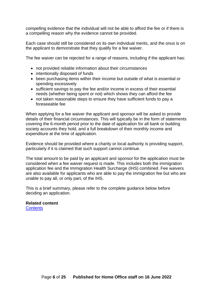compelling evidence that the individual will not be able to afford the fee or if there is a compelling reason why the evidence cannot be provided.

Each case should still be considered on its own individual merits, and the onus is on the applicant to demonstrate that they qualify for a fee waiver.

The fee waiver can be rejected for a range of reasons, including if the applicant has:

- not provided reliable information about their circumstances
- intentionally disposed of funds
- been purchasing items within their income but outside of what is essential or spending excessively
- sufficient savings to pay the fee and/or income in excess of their essential needs (whether being spent or not) which shows they can afford the fee
- not taken reasonable steps to ensure they have sufficient funds to pay a foreseeable fee

When applying for a fee waiver the applicant and sponsor will be asked to provide details of their financial circumstances. This will typically be in the form of statements covering the 6-month period prior to the date of application for all bank or building society accounts they hold, and a full breakdown of their monthly income and expenditure at the time of application.

Evidence should be provided where a charity or local authority is providing support, particularly if it is claimed that such support cannot continue.

The total amount to be paid by an applicant and sponsor for the application must be considered when a fee waiver request is made. This includes both the immigration application fee and the Immigration Health Surcharge (IHS) combined. Fee waivers are also available for applicants who are able to pay the immigration fee but who are unable to pay all, or only part, of the IHS.

This is a brief summary, please refer to the complete guidance below before deciding an application.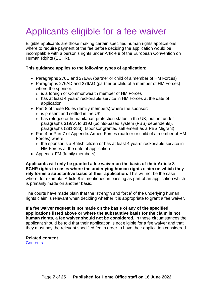# <span id="page-6-0"></span>Applicants eligible for a fee waiver

Eligible applicants are those making certain specified human rights applications where to require payment of the fee before deciding the application would be incompatible with a person's rights under Article 8 of the European Convention on Human Rights (ECHR).

#### **This guidance applies to the following types of application:**

- Paragraphs 276U and 276AA (partner or child of a member of HM Forces)
- Paragraphs 276AD and 276AG (partner or child of a member of HM Forces) where the sponsor:
	- $\circ$  is a foreign or Commonwealth member of HM Forces
	- o has at least 4 years' reckonable service in HM Forces at the date of application
- Part 8 of these Rules (family members) where the sponsor:
	- $\circ$  is present and settled in the UK
	- o has refugee or humanitarian protection status in the UK, but not under paragraphs 319AA to 319J (points-based system (PBS) dependents), paragraphs (281-283), (sponsor granted settlement as a PBS Migrant)
- Part 4 or Part 7 of Appendix Armed Forces (partner or child of a member of HM Forces) where:
	- o the sponsor is a British citizen or has at least 4 years' reckonable service in HM Forces at the date of application
- Appendix FM (family members)

**Applicants will only be granted a fee waiver on the basis of their Article 8 ECHR rights in cases where the underlying human rights claim on which they rely forms a substantive basis of their application.** This will not be the case where, for example, Article 8 is mentioned in passing as part of an application which is primarily made on another basis.

The courts have made plain that the 'strength and force' of the underlying human rights claim is relevant when deciding whether it is appropriate to grant a fee waiver.

**If a fee waiver request is not made on the basis of any of the specified applications listed above or where the substantive basis for the claim is not human rights, a fee waiver should not be considered.** In these circumstances the applicant should be told that their application is not eligible for a fee waiver and that they must pay the relevant specified fee in order to have their application considered.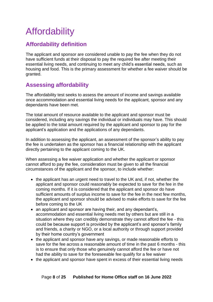# <span id="page-7-0"></span>**Affordability**

# <span id="page-7-1"></span>**Affordability definition**

The applicant and sponsor are considered unable to pay the fee when they do not have sufficient funds at their disposal to pay the required fee after meeting their essential living needs, and continuing to meet any child's essential needs, such as housing and food. This is the primary assessment for whether a fee waiver should be granted.

## <span id="page-7-2"></span>**Assessing affordability**

The affordability test seeks to assess the amount of income and savings available once accommodation and essential living needs for the applicant, sponsor and any dependants have been met.

The total amount of resource available to the applicant and sponsor must be considered, including any savings the individual or individuals may have. This should be applied to the total amount required by the applicant and sponsor to pay for the applicant's application and the applications of any dependants.

In addition to assessing the applicant, an assessment of the sponsor's ability to pay the fee is undertaken as the sponsor has a financial relationship with the applicant directly pertaining to the applicant coming to the UK.

When assessing a fee waiver application and whether the applicant or sponsor cannot afford to pay the fee, consideration must be given to all the financial circumstances of the applicant and the sponsor, to include whether:

- the applicant has an urgent need to travel to the UK and, if not, whether the applicant and sponsor could reasonably be expected to save for the fee in the coming months. If it is considered that the applicant and sponsor do have sufficient amounts of surplus income to save for the fee in the next few months, the applicant and sponsor should be advised to make efforts to save for the fee before coming to the UK
- an applicant and sponsor are having their, and any dependant's, accommodation and essential living needs met by others but are still in a situation where they can credibly demonstrate they cannot afford the fee - this could be because support is provided by the applicant's and sponsor's family and friends, a charity or NGO, or a local authority or through support provided by their home country's government
- the applicant and sponsor have any savings, or made reasonable efforts to save for the fee across a reasonable amount of time in the past 6 months - this is to ensure that only those who genuinely cannot afford the fee or have not had the ability to save for the foreseeable fee qualify for a fee waiver
- the applicant and sponsor have spent in excess of their essential living needs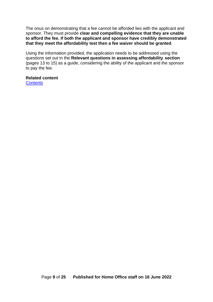The onus on demonstrating that a fee cannot be afforded lies with the applicant and sponsor. They must provide **clear and compelling evidence that they are unable to afford the fee. If both the applicant and sponsor have credibly demonstrated that they meet the affordability test then a fee waiver should be granted**.

Using the information provided, the application needs to be addressed using the questions set out in the **Relevant questions in assessing affordability section** (pages 13 to 15) as a guide, considering the ability of the applicant and the sponsor to pay the fee.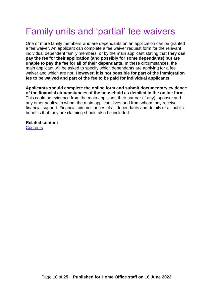# <span id="page-9-0"></span>Family units and 'partial' fee waivers

One or more family members who are dependants on an application can be granted a fee waiver. An applicant can complete a fee waiver request form for the relevant individual dependent family members, or by the main applicant stating that **they can pay the fee for their application (and possibly for some dependants) but are unable to pay the fee for all of their dependants.** In these circumstances, the main applicant will be asked to specify which dependants are applying for a fee waiver and which are not. **However, it is not possible for part of the immigration fee to be waived and part of the fee to be paid for individual applicants**.

**Applicants should complete the online form and submit documentary evidence of the financial circumstances of the household as detailed in the online form.** This could be evidence from the main applicant, their partner (if any), sponsor and any other adult with whom the main applicant lives and from whom they receive financial support. Financial circumstances of all dependants and details of all public benefits that they are claiming should also be included.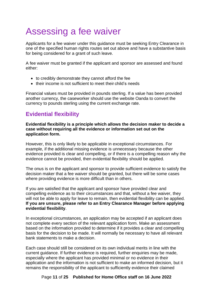# <span id="page-10-0"></span>Assessing a fee waiver

Applicants for a fee waiver under this guidance must be seeking Entry Clearance in one of the specified human rights routes set out above and have a substantive basis for being considered for a grant of such leave.

A fee waiver must be granted if the applicant and sponsor are assessed and found either:

- to credibly demonstrate they cannot afford the fee
- their income is not sufficient to meet their child's needs

Financial values must be provided in pounds sterling. If a value has been provided another currency, the caseworker should use the website Oanda to convert the currency to pounds sterling using the current exchange rate.

## <span id="page-10-1"></span>**Evidential flexibility**

**Evidential flexibility is a principle which allows the decision maker to decide a case without requiring all the evidence or information set out on the application form.**

However, this is only likely to be applicable in exceptional circumstances. For example, if the additional missing evidence is unnecessary because the other evidence provided is clear and compelling, or if there is a compelling reason why the evidence cannot be provided, then evidential flexibility should be applied.

The onus is on the applicant and sponsor to provide sufficient evidence to satisfy the decision maker that a fee waiver should be granted, but there will be some cases where providing evidence is more difficult than in others.

If you are satisfied that the applicant and sponsor have provided clear and compelling evidence as to their circumstances and that, without a fee waiver, they will not be able to apply for leave to remain, then evidential flexibility can be applied. **If you are unsure, please refer to an Entry Clearance Manager before applying evidential flexibility**.

In exceptional circumstances, an application may be accepted if an applicant does not complete every section of the relevant application form. Make an assessment based on the information provided to determine if it provides a clear and compelling basis for the decision to be made. It will normally be necessary to have all relevant bank statements to make a decision.

Each case should still be considered on its own individual merits in line with the current guidance. If further evidence is required, further enquiries may be made, especially where the applicant has provided minimal or no evidence in their application and the information is not sufficient to make an informed decision, but it remains the responsibility of the applicant to sufficiently evidence their claimed

Page **11** of **25 Published for Home Office staff on 16 June 2022**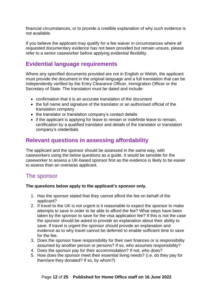financial circumstances, or to provide a credible explanation of why such evidence is not available.

If you believe the applicant may qualify for a fee waiver in circumstances where all requested documentary evidence has not been provided but remain unsure, please refer to a senior caseworker before applying evidential flexibility.

## <span id="page-11-0"></span>**Evidential language requirements**

Where any specified documents provided are not in English or Welsh, the applicant must provide the document in the original language and a full translation that can be independently verified by the Entry Clearance Officer, Immigration Officer or the Secretary of State. The translation must be dated and include:

- confirmation that it is an accurate translation of the document
- the full name and signature of the translator or an authorised official of the translation company
- the translator or translation company's contact details
- if the applicant is applying for leave to remain or indefinite leave to remain, certification by a qualified translator and details of the translator or translation company's credentials

## <span id="page-11-1"></span>**Relevant questions in assessing affordability**

The applicant and the sponsor should be assessed in the same way, with caseworkers using the below questions as a guide. It would be sensible for the caseworker to assess a UK-based sponsor first as the evidence is likely to be easier to assess than an overseas applicant.

## <span id="page-11-2"></span>The sponsor

#### **The questions below apply to the applicant's sponsor only.**

- 1. Has the sponsor stated that they cannot afford the fee on behalf of the applicant?
- 2. If travel to the UK is not urgent is it reasonable to expect the sponsor to make attempts to save in order to be able to afford the fee? What steps have been taken by the sponsor to save for the visa application fee? If this is not the case the sponsor should be asked to provide an explanation about their ability to save. If travel is urgent the sponsor should provide an explanation and evidence as to why travel cannot be deferred to enable sufficient time to save for the fee.
- 3. Does the sponsor have responsibility for their own finances or is responsibility assumed by another person or persons? If so, who assumes responsibility?
- 4. Does the sponsor pay for their accommodation? If not, who does?
- 5. How does the sponsor meet their essential living needs? (i.e. do they pay for them/are they donated? If so, by whom?)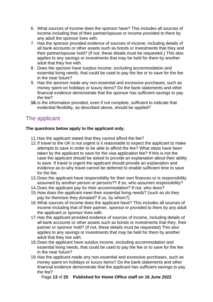- 6. What sources of income does the sponsor have? This includes all sources of income including that of their partner/spouse or income provided to them by any adult the sponsor lives with.
- 7. Has the sponsor provided evidence of sources of income, including details of all bank accounts or other assets such as bonds or investments that they and their partner/spouse hold? (If not, these details must be requested.) This also applies to any savings or investments that may be held for them by another adult that they live with.
- 8. Does the sponsor have surplus income, excluding accommodation and essential living needs, that could be used to pay the fee or to save for the fee in the near future?
- 9. Has the sponsor made any non-essential and excessive purchases, such as money spent on holidays or luxury items? Do the bank statements and other financial evidence demonstrate that the sponsor has sufficient savings to pay the fee?
- **10.**Is the information provided, even if not complete, sufficient to indicate that evidential flexibility, as described above, should be applied?

## <span id="page-12-0"></span>The applicant

#### **The questions below apply to the applicant only.**

- 11.Has the applicant stated that they cannot afford the fee?
- 12.If travel to the UK is not urgent is it reasonable to expect the applicant to make attempts to save in order to be able to afford the fee? What steps have been taken by the applicant to save for the visa application fee? If this is not the case the applicant should be asked to provide an explanation about their ability to save. If travel is urgent the applicant should provide an explanation and evidence as to why travel cannot be deferred to enable sufficient time to save for the fee.
- 13.Does the applicant have responsibility for their own finances or is responsibility assumed by another person or persons?? If so, who assumes responsibility?
- 14.Does the applicant pay for their accommodation? If not, who does?
- 15.How does the applicant meet their essential living needs? (such as do they pay for them/are they donated? If so, by whom?)
- 16.What sources of income does the applicant have? This includes all sources of income including that of their partner, sponsor or provided to them by any adult the applicant or sponsor lives with.
- 17.Has the applicant provided evidence of sources of income, including details of all bank accounts or other assets such as bonds or investments that they, their partner or sponsor hold? (If not, these details must be requested) This also applies to any savings or investments that may be held for them by another adult that they live with.
- 18.Does the applicant have surplus income, excluding accommodation and essential living needs, that could be used to pay the fee or to save for the fee in the near future?
- 19.Has the applicant made any non-essential and excessive purchases, such as money spent on holidays or luxury items? Do the bank statements and other financial evidence demonstrate that the applicant has sufficient savings to pay the fee?

Page **13** of **25 Published for Home Office staff on 16 June 2022**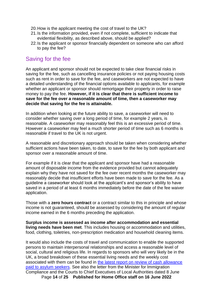- 20.How is the applicant meeting the cost of travel to the UK?
- 21.Is the information provided, even if not complete, sufficient to indicate that evidential flexibility, as described above, should be applied?
- 22.Is the applicant or sponsor financially dependent on someone who can afford to pay the fee?

### <span id="page-13-0"></span>Saving for the fee

An applicant and sponsor should not be expected to take clear financial risks in saving for the fee, such as cancelling insurance policies or not paying housing costs such as rent in order to save for the fee, and caseworkers are not expected to have a detailed understanding of the financial options available to applicants, for example whether an applicant or sponsor should remortgage their property in order to raise money to pay the fee. **However, if it is clear that there is sufficient income to save for the fee over a reasonable amount of time, then a caseworker may decide that saving for the fee is attainable.**

In addition when looking at the future ability to save, a caseworker will need to consider whether saving over a long period of time, for example 2 years, is reasonable. A caseworker may reasonably feel this is an excessive period of time. However a caseworker may feel a much shorter period of time such as 6 months is reasonable if travel to the UK is not urgent.

A reasonable and discretionary approach should be taken when considering whether sufficient actions have been taken, to date, to save for the fee by both applicant and sponsor over a reasonable amount of time.

For example if it is clear that the applicant and sponsor have had a reasonable amount of disposable income from the evidence provided but cannot adequately explain why they have not saved for the fee over recent months the caseworker may reasonably decide that insufficient efforts have been made to save for the fee. As a guideline a caseworker should look at the applicant's and sponsor's ability to have saved in a period of at least 6 months immediately before the date of the fee waiver application.

Those with a **zero hours contract** or a contract similar to this in principle and whose income is not guaranteed, should be assessed by considering the amount of regular income earned in the 6 months preceding the application.

**Surplus income is assessed as income after accommodation and essential living needs have been met**. This includes housing or accommodation and utilities, food, clothing, toiletries, non-prescription medication and household cleaning items.

It would also include the costs of travel and communication to enable the supported persons to maintain interpersonal relationships and access a reasonable level of social, cultural and religious life. In regards to sponsors who will very likely be in the UK, a broad breakdown of these essential living needs and the weekly cost associated with them can be found in [the latest report on review of cash allowance](https://www.gov.uk/government/publications/report-on-review-of-cash-allowance-paid-to-asylum-seekers)  [paid to asylum seekers.](https://www.gov.uk/government/publications/report-on-review-of-cash-allowance-paid-to-asylum-seekers) See also the letter from the Minister for Immigration Compliance and the Courts to Chief Executives of Local Authorities dated 8 June

Page **14** of **25 Published for Home Office staff on 16 June 2022**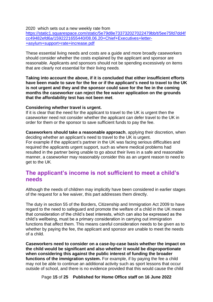#### 2020 which sets out a new weekly rate from

[https://static1.squarespace.com/static/5e79d8e733732027022479bb/t/5ee75fd7dd4f](https://static1.squarespace.com/static/5e79d8e733732027022479bb/t/5ee75fd7dd4fcc49482efd6a/1592221655440/08.06.20+Chief+Executives+letter-+asylum+support+rate+increase.pdf) [cc49482efd6a/1592221655440/08.06.20+Chief+Executives+letter-](https://static1.squarespace.com/static/5e79d8e733732027022479bb/t/5ee75fd7dd4fcc49482efd6a/1592221655440/08.06.20+Chief+Executives+letter-+asylum+support+rate+increase.pdf) [+asylum+support+rate+increase.pdf](https://static1.squarespace.com/static/5e79d8e733732027022479bb/t/5ee75fd7dd4fcc49482efd6a/1592221655440/08.06.20+Chief+Executives+letter-+asylum+support+rate+increase.pdf)

These essential living needs and costs are a guide and more broadly caseworkers should consider whether the costs explained by the applicant and sponsor are reasonable. Applicants and sponsors should not be spending excessively on items that are clearly not essential for their living needs.

**Taking into account the above, if it is concluded that either insufficient efforts have been made to save for the fee or if the applicant's need to travel to the UK is not urgent and they and the sponsor could save for the fee in the coming months the caseworker can reject the fee waiver application on the grounds that the affordability test has not been met**.

#### **Considering whether travel is urgent.**

If it is clear that the need for the applicant to travel to the UK is urgent then the caseworker need not consider whether the applicant can defer travel to the UK in order for them or the sponsor to save sufficient funds to pay the fee.

**Caseworkers should take a reasonable approach**, applying their discretion, when deciding whether an applicant's need to travel to the UK is urgent. For example if the applicant's partner in the UK was facing serious difficulties and required the applicants urgent support, such as where medical problems had resulted in the partner being unable to go about their lives in a safe and reasonable manner, a caseworker may reasonably consider this as an urgent reason to need to get to the UK.

### <span id="page-14-0"></span>**The applicant's income is not sufficient to meet a child's needs**

Although the needs of children may implicitly have been considered in earlier stages of the request for a fee waiver, this part addresses them directly.

The duty in section 55 of the Borders, Citizenship and Immigration Act 2009 to have regard to the need to safeguard and promote the welfare of a child in the UK means that consideration of the child's best interests, which can also be expressed as the child's wellbeing, must be a primary consideration in carrying out immigration functions that affect them. This means careful consideration needs to be given as to whether by paying the fee, the applicant and sponsor are unable to meet the needs of a child.

**Caseworkers need to consider on a case-by-case basis whether the impact on the child would be significant and also whether it would be disproportionate when considering this against the public interest of funding the broader functions of the immigration system.** For example, if by paying the fee a child may not be able to continue an additional activity such as sport lessons that occur outside of school, and there is no evidence provided that this would cause the child

Page **15** of **25 Published for Home Office staff on 16 June 2022**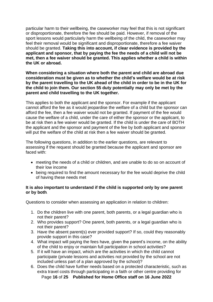particular harm to their wellbeing, the caseworker may feel that this is not significant or disproportionate, therefore the fee should be paid. However, if removal of the sport lessons would particularly harm the wellbeing of the child, the caseworker may feel their removal would be significant and disproportionate, therefore a fee waiver should be granted. **Taking this into account, if clear evidence is provided by the applicant and sponsor, that by paying the fee the needs of a child will not be met, then a fee waiver should be granted. This applies whether a child is within the UK or abroad.**

**When considering a situation where both the parent and child are abroad due consideration must be given as to whether the child's welfare would be at risk by the parent travelling to the UK ahead of the child in order to be in the UK for the child to join them. Our section 55 duty potentially may only be met by the parent and child travelling to the UK together.** 

This applies to both the applicant and the sponsor. For example if the applicant cannot afford the fee as it would jeopardise the welfare of a child but the sponsor can afford the fee, then a fee waiver would not be granted. If payment of the fee would cause the welfare of a child, under the care of either the sponsor or the applicant, to be at risk then a fee waiver would be granted. If the child is under the care of BOTH the applicant and the sponsor and payment of the fee by both applicant and sponsor will put the welfare of the child at risk then a fee waiver should be granted.

The following questions, in addition to the earlier questions, are relevant to assessing if the request should be granted because the applicant and sponsor are faced with:

- meeting the needs of a child or children, and are unable to do so on account of their low income
- being required to find the amount necessary for the fee would deprive the child of having these needs met

#### **It is also important to understand if the child is supported only by one parent or by both**.

Questions to consider when assessing an application in relation to children:

- 1. Do the children live with one parent, both parents, or a legal guardian who is not their parent?
- 2. Who provides support? One parent, both parents, or a legal guardian who is not their parent?
- 3. Have the absent parent(s) ever provided support? If so, could they reasonably provide support in this case?
- 4. What impact will paying the fees have, given the parent's income, on the ability of the child to enjoy or maintain full participation in school activities?
- 5. If it will have an impact, which are the activities in which the child cannot participate (private lessons and activities not provided by the school are not included unless part of a plan approved by the school)?
- Page **16** of **25 Published for Home Office staff on 16 June 2022** 6. Does the child have further needs based on a protected characteristic, such as extra travel costs through participating in a faith or other centre providing for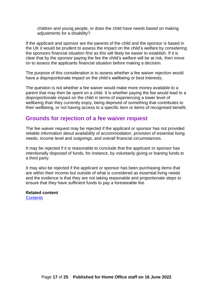children and young people, or does the child have needs based on making adjustments for a disability?

If the applicant and sponsor are the parents of the child and the sponsor is based in the UK it would be prudent to assess the impact on the child's welfare by considering the sponsors financial situation first as this will likely be easier to establish. If it is clear that by the sponsor paying the fee the child's welfare will be at risk, then move on to assess the applicants financial situation before making a decision.

The purpose of this consideration is to assess whether a fee waiver rejection would have a disproportionate impact on the child's wellbeing or best interests.

The question is not whether a fee waiver would make more money available to a parent that may then be spent on a child. It is whether paying the fee would lead to a disproportionate impact on the child in terms of experiencing a lower level of wellbeing than they currently enjoy, being deprived of something that contributes to their wellbeing, or not having access to a specific item or items of recognised benefit.

### <span id="page-16-0"></span>**Grounds for rejection of a fee waiver request**

The fee waiver request may be rejected if the applicant or sponsor has not provided reliable information about availability of accommodation, provision of essential living needs, income level and outgoings, and overall financial circumstances.

It may be rejected if it is reasonable to conclude that the applicant or sponsor has intentionally disposed of funds, for instance, by voluntarily giving or loaning funds to a third party.

It may also be rejected if the applicant or sponsor has been purchasing items that are within their income but outside of what is considered as essential living needs and the evidence is that they are not taking reasonable and proportionate steps to ensure that they have sufficient funds to pay a foreseeable fee.

#### **Related content**

**[Contents](#page-0-0)**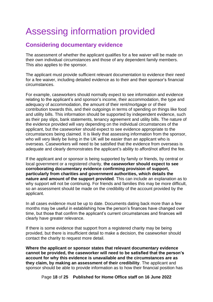# <span id="page-17-0"></span>Assessing information provided

## <span id="page-17-1"></span>**Considering documentary evidence**

The assessment of whether the applicant qualifies for a fee waiver will be made on their own individual circumstances and those of any dependent family members. This also applies to the sponsor.

The applicant must provide sufficient relevant documentation to evidence their need for a fee waiver, including detailed evidence as to their and their sponsor's financial circumstances.

For example, caseworkers should normally expect to see information and evidence relating to the applicant's and sponsor's income, their accommodation, the type and adequacy of accommodation, the amount of their rent/mortgage or of their contribution towards this, and their outgoings in terms of spending on things like food and utility bills. This information should be supported by independent evidence, such as their pay slips, bank statements, tenancy agreement and utility bills. The nature of the evidence provided will vary depending on the individual circumstances of the applicant, but the caseworker should expect to see evidence appropriate to the circumstances being claimed. It is likely that assessing information from the sponsor, who will very likely be living in the UK will be easier than an applicant who is overseas. Caseworkers will need to be satisfied that the evidence from overseas is adequate and clearly demonstrates the applicant's ability to afford/not afford the fee.

If the applicant and or sponsor is being supported by family or friends, by central or local government or a registered charity, **the caseworker should expect to see corroborating documentary evidence confirming provision of support, particularly from charities and government authorities, which details the nature and amount of the support provided**. This can include an explanation as to why support will not be continuing. For friends and families this may be more difficult, so an assessment should be made on the credibility of the account provided by the applicant.

In all cases evidence must be up to date. Documents dating back more than a few months may be useful in establishing how the person's finances have changed over time, but those that confirm the applicant's current circumstances and finances will clearly have greater relevance.

If there is some evidence that support from a registered charity may be being provided, but there is insufficient detail to make a decision, the caseworker should contact the charity to request more detail.

**Where the applicant or sponsor states that relevant documentary evidence cannot be provided, the caseworker will need to be satisfied that the person's account for why this evidence is unavailable and the circumstances are as they claim, by making an assessment of their credibility**. The applicant and sponsor should be able to provide information as to how their financial position has

Page **18** of **25 Published for Home Office staff on 16 June 2022**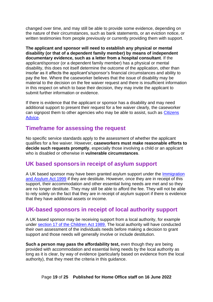changed over time, and may still be able to provide some evidence, depending on the nature of their circumstances, such as bank statements, or an eviction notice, or written testimonies from people previously or currently providing them with support.

**The applicant and sponsor will need to establish any physical or mental disability (or that of a dependent family member) by means of independent documentary evidence, such as a letter from a hospital consultant**. If the applicant/sponsor (or a dependent family member) has a physical or mental disability, this does not itself determine the outcome of the application, other than insofar as it affects the applicant's/sponsor's financial circumstances and ability to pay the fee. Where the caseworker believes that the issue of disability may be material to the decision on the fee waiver request and there is insufficient information in this respect on which to base their decision, they may invite the applicant to submit further information or evidence.

If there is evidence that the applicant or sponsor has a disability and may need additional support to present their request for a fee waiver clearly, the caseworker can signpost them to other agencies who may be able to assist, such as [Citizens](https://www.citizensadvice.org.uk/)  [Advice.](https://www.citizensadvice.org.uk/)

### <span id="page-18-0"></span>**Timeframe for assessing the request**

No specific service standards apply to the assessment of whether the applicant qualifies for a fee waiver. However, **caseworkers must make reasonable efforts to decide such requests promptly**, especially those involving a child or an applicant who is disabled or otherwise in **vulnerable circumstances**.

## <span id="page-18-1"></span>**UK based sponsors in receipt of asylum support**

A UK based sponsor may have been granted asylum support under the [Immigration](http://www.legislation.gov.uk/ukpga/1999/33/contents)  [and Asylum Act 1999](http://www.legislation.gov.uk/ukpga/1999/33/contents) if they are destitute. However, once they are in receipt of this support, their accommodation and other essential living needs are met and so they are no longer destitute. They may still be able to afford the fee. They will not be able to rely solely on the fact that they are in receipt of asylum support if there is evidence that they have additional assets or income.

## <span id="page-18-2"></span>**UK-based sponsors in receipt of local authority support**

A UK based sponsor may be receiving support from a local authority, for example under [section 17 of the Children Act 1989.](http://www.legislation.gov.uk/ukpga/1989/41/section/17) The local authority will have conducted their own assessment of the individuals needs before making a decision to grant support and those needs will generally involve or include destitution.

**Such a person may pass the affordability test,** even though they are being provided with accommodation and essential living needs by the local authority as long as it is clear, by way of evidence (particularly based on evidence from the local authority), that they meet the criteria in this guidance.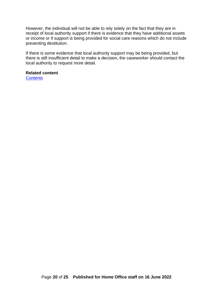However, the individual will not be able to rely solely on the fact that they are in receipt of local authority support if there is evidence that they have additional assets or income or if support is being provided for social care reasons which do not include preventing destitution.

If there is some evidence that local authority support may be being provided, but there is still insufficient detail to make a decision, the caseworker should contact the local authority to request more detail.

#### **Related content**

**[Contents](#page-0-0)**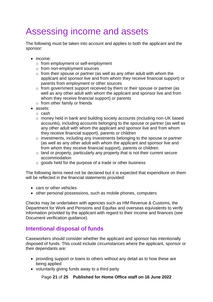# <span id="page-20-0"></span>Assessing income and assets

The following must be taken into account and applies to both the applicant and the sponsor:

- income:
	- o from employment or self-employment
	- o from non-employment sources
	- $\circ$  from their spouse or partner (as well as any other adult with whom the applicant and sponsor live and from whom they receive financial support) or parents from employment or other sources
	- o from government support received by them or their spouse or partner (as well as any other adult with whom the applicant and sponsor live and from whom they receive financial support) or parents
	- $\circ$  from other family or friends
- assets:
	- o cash
	- o money held in bank and building society accounts (including non-UK based accounts), including accounts belonging to the spouse or partner (as well as any other adult with whom the applicant and sponsor live and from whom they receive financial support), parents or children
	- o investments, including any investments belonging to the spouse or partner (as well as any other adult with whom the applicant and sponsor live and from whom they receive financial support), parents or children
	- o land or property, particularly any property that is not their current secure accommodation
	- o goods held for the purpose of a trade or other business

The following items need not be declared but it is expected that expenditure on them will be reflected in the financial statements provided:

- cars or other vehicles
- other personal possessions, such as mobile phones, computers

Checks may be undertaken with agencies such as HM Revenue & Customs, the Department for Work and Pensions and Equifax and overseas equivalents to verify information provided by the applicant with regard to their income and finances (see Document verification guidance).

## <span id="page-20-1"></span>**Intentional disposal of funds**

Caseworkers should consider whether the applicant and sponsor has intentionally disposed of funds. This could include circumstances where the applicant, sponsor or their dependants are:

- providing support or loans to others without any detail as to how these are being applied
- voluntarily giving funds away to a third party

Page **21** of **25 Published for Home Office staff on 16 June 2022**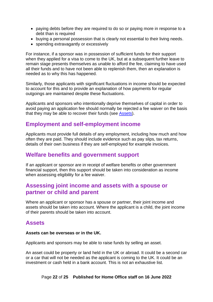- paying debts before they are required to do so or paying more in response to a debt than is required
- buying a personal possession that is clearly not essential to their living needs.
- spending extravagantly or excessively

For instance, if a sponsor was in possession of sufficient funds for their support when they applied for a visa to come to the UK, but at a subsequent further leave to remain stage presents themselves as unable to afford the fee, claiming to have used all their funds and to have not been able to replenish them, then an explanation is needed as to why this has happened.

Similarly, those applicants with significant fluctuations in income should be expected to account for this and to provide an explanation of how payments for regular outgoings are maintained despite these fluctuations.

Applicants and sponsors who intentionally deprive themselves of capital in order to avoid paying an application fee should normally be rejected a fee waiver on the basis that they may be able to recover their funds (see [Assets\)](#page-21-3).

### <span id="page-21-0"></span>**Employment and self-employment income**

Applicants must provide full details of any employment, including how much and how often they are paid. They should include evidence such as pay slips, tax returns, details of their own business if they are self-employed for example invoices.

### <span id="page-21-1"></span>**Welfare benefits and government support**

If an applicant or sponsor are in receipt of welfare benefits or other government financial support, then this support should be taken into consideration as income when assessing eligibility for a fee waiver.

## <span id="page-21-2"></span>**Assessing joint income and assets with a spouse or partner or child and parent**

Where an applicant or sponsor has a spouse or partner, their joint income and assets should be taken into account. Where the applicant is a child, the joint income of their parents should be taken into account.

### <span id="page-21-3"></span>**Assets**

#### **Assets can be overseas or in the UK.**

Applicants and sponsors may be able to raise funds by selling an asset.

An asset could be property or land held in the UK or abroad. It could be a second car or a car that will not be needed as the applicant is coming to the UK. It could be an investment or cash held in a bank account. This is not an exhaustive list.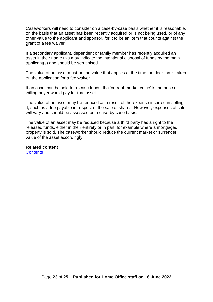Caseworkers will need to consider on a case-by-case basis whether it is reasonable, on the basis that an asset has been recently acquired or is not being used, or of any other value to the applicant and sponsor, for it to be an item that counts against the grant of a fee waiver.

If a secondary applicant, dependent or family member has recently acquired an asset in their name this may indicate the intentional disposal of funds by the main applicant(s) and should be scrutinised.

The value of an asset must be the value that applies at the time the decision is taken on the application for a fee waiver.

If an asset can be sold to release funds, the 'current market value' is the price a willing buyer would pay for that asset.

The value of an asset may be reduced as a result of the expense incurred in selling it, such as a fee payable in respect of the sale of shares. However, expenses of sale will vary and should be assessed on a case-by-case basis.

The value of an asset may be reduced because a third party has a right to the released funds, either in their entirety or in part, for example where a mortgaged property is sold. The caseworker should reduce the current market or surrender value of the asset accordingly.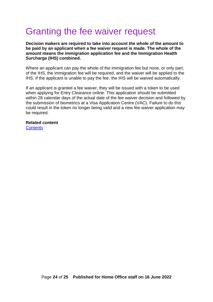# <span id="page-23-0"></span>Granting the fee waiver request

**Decision makers are required to take into account the whole of the amount to be paid by an applicant when a fee waiver request is made. The whole of the amount means the immigration application fee and the Immigration Health Surcharge (IHS) combined.** 

Where an applicant can pay the whole of the immigration fee but none, or only part, of the IHS, the immigration fee will be required, and the waiver will be applied to the IHS. If the applicant is unable to pay the fee, the IHS will be waived automatically.

If an applicant is granted a fee waiver, they will be issued with a token to be used when applying for Entry Clearance online. This application should be submitted within 28 calendar days of the actual date of the fee waiver decision and followed by the submission of biometrics at a Visa Application Centre (VAC). Failure to do this could result in the token no longer being valid and a new fee waiver application may be required.